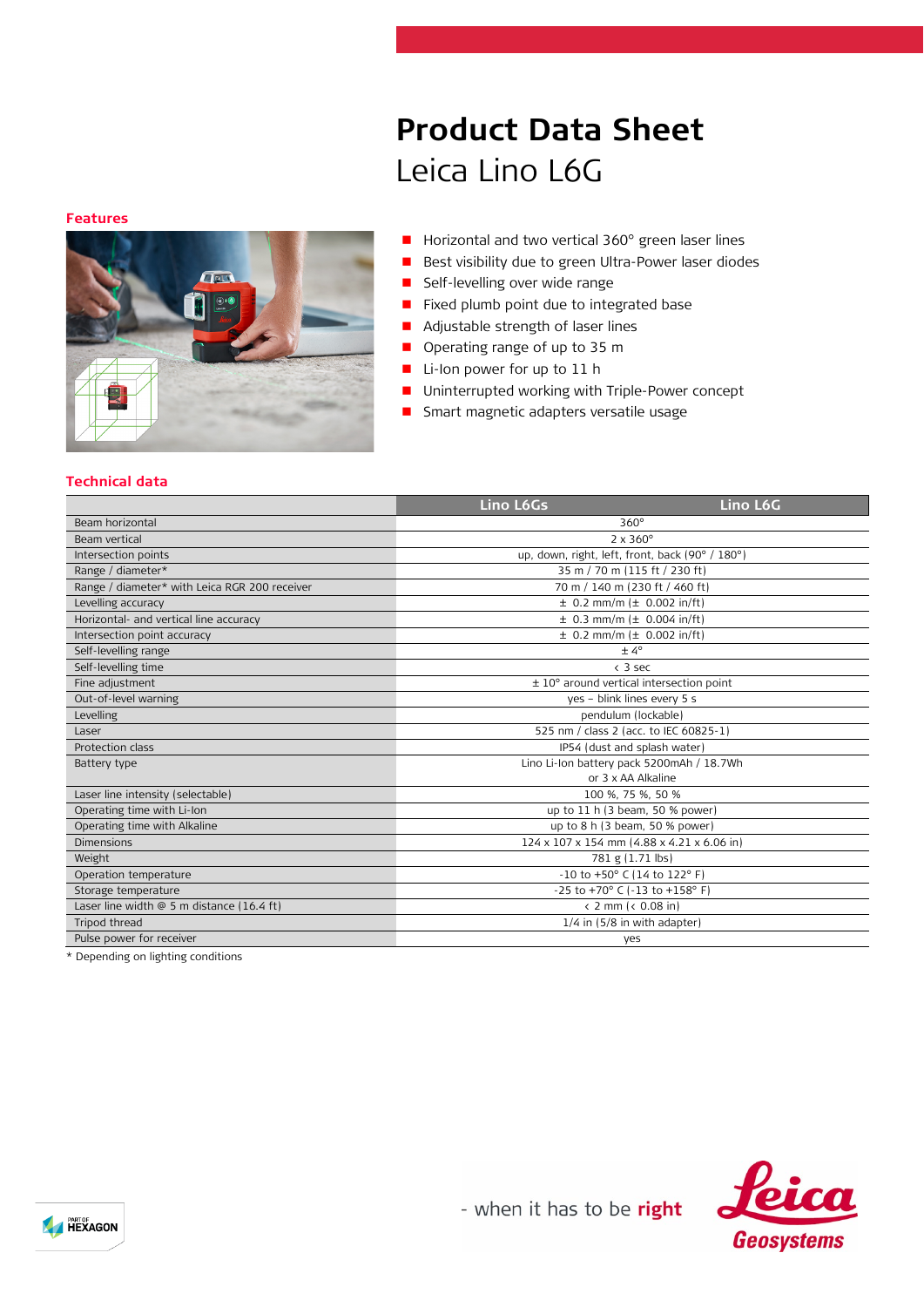# **Product Data Sheet** Leica Lino L6G

#### **Features**



- Horizontal and two vertical 360° green laser lines
- Best visibility due to green Ultra-Power laser diodes
- **Self-levelling over wide range**
- **Fixed plumb point due to integrated base**
- **Adjustable strength of laser lines**
- Operating range of up to 35 m
- Li-Ion power for up to 11 h
- **Uninterrupted working with Triple-Power concept**
- **B** Smart magnetic adapters versatile usage

## **Technical data**

|                                               | Lino L6Gs                                              | Lino L6G |  |
|-----------------------------------------------|--------------------------------------------------------|----------|--|
| Beam horizontal                               | $360^\circ$                                            |          |  |
| Beam vertical                                 | $2 \times 360^\circ$                                   |          |  |
| Intersection points                           | up, down, right, left, front, back (90° / 180°)        |          |  |
| Range / diameter*                             | 35 m / 70 m (115 ft / 230 ft)                          |          |  |
| Range / diameter* with Leica RGR 200 receiver | 70 m / 140 m (230 ft / 460 ft)                         |          |  |
| Levelling accuracy                            | $\pm$ 0.2 mm/m ( $\pm$ 0.002 in/ft)                    |          |  |
| Horizontal- and vertical line accuracy        | $\pm$ 0.3 mm/m ( $\pm$ 0.004 in/ft)                    |          |  |
| Intersection point accuracy                   | $\pm$ 0.2 mm/m ( $\pm$ 0.002 in/ft)                    |          |  |
| Self-levelling range                          | $± 4^{\circ}$                                          |          |  |
| Self-levelling time                           | $<$ 3 sec                                              |          |  |
| Fine adjustment                               | $\pm$ 10 $^{\circ}$ around vertical intersection point |          |  |
| Out-of-level warning                          | yes - blink lines every 5 s                            |          |  |
| Levelling                                     | pendulum (lockable)                                    |          |  |
| Laser                                         | 525 nm / class 2 (acc. to IEC 60825-1)                 |          |  |
| Protection class                              | IP54 (dust and splash water)                           |          |  |
| Battery type                                  | Lino Li-Ion battery pack 5200mAh / 18.7Wh              |          |  |
|                                               | or 3 x AA Alkaline                                     |          |  |
| Laser line intensity (selectable)             | 100 %, 75 %, 50 %                                      |          |  |
| Operating time with Li-Ion                    | up to 11 h (3 beam, 50 % power)                        |          |  |
| Operating time with Alkaline                  | up to 8 h (3 beam, 50 % power)                         |          |  |
| <b>Dimensions</b>                             | 124 x 107 x 154 mm (4.88 x 4.21 x 6.06 in)             |          |  |
| Weight                                        | 781 g (1.71 lbs)                                       |          |  |
| Operation temperature                         | -10 to +50° C (14 to 122° F)                           |          |  |
| Storage temperature                           | -25 to +70° C (-13 to +158° F)                         |          |  |
| Laser line width $@$ 5 m distance (16.4 ft)   | $\langle$ 2 mm $\langle$ 0.08 in)                      |          |  |
| Tripod thread                                 | $1/4$ in $(5/8$ in with adapter)                       |          |  |
| Pulse power for receiver                      | yes                                                    |          |  |
| the company's company's company's company's   |                                                        |          |  |

\* Depending on lighting conditions